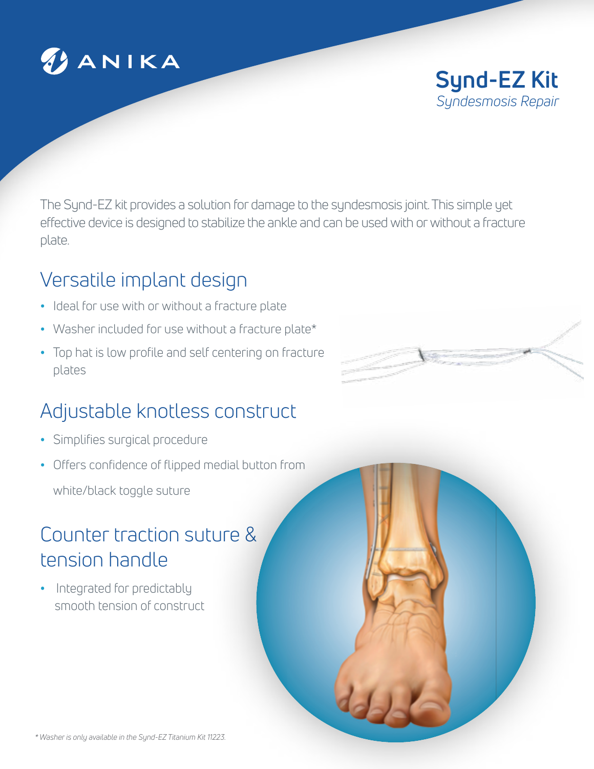

**Synd-EZ Kit** *Syndesmosis Repair*

The Synd-EZ kit provides a solution for damage to the syndesmosis joint. This simple yet effective device is designed to stabilize the ankle and can be used with or without a fracture plate.

### Versatile implant design

- **•** Ideal for use with or without a fracture plate
- **•** Washer included for use without a fracture plate\*
- **•** Top hat is low profile and self centering on fracture plates

# Adjustable knotless construct

- **•** Simplifies surgical procedure
- **•** Offers confidence of flipped medial button from white/black toggle suture

## Counter traction suture & tension handle

**•** Integrated for predictably smooth tension of construct